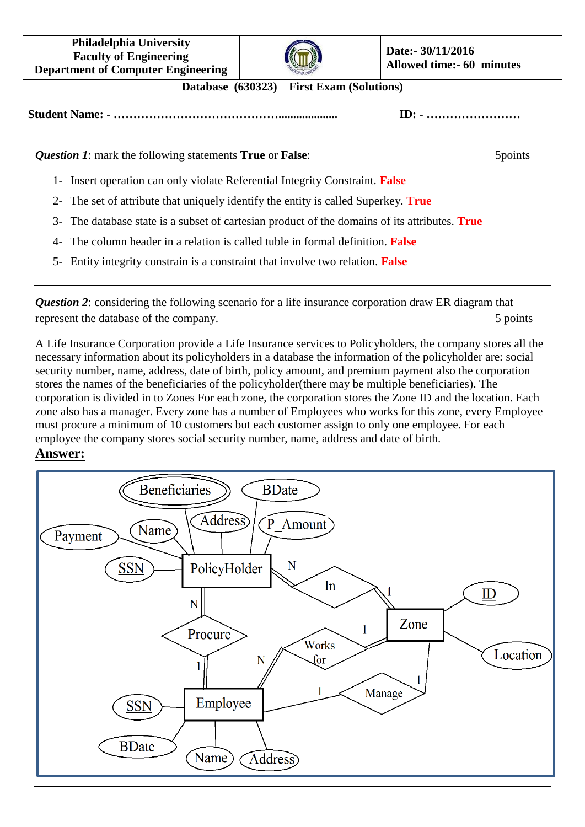**Philadelphia University Faculty of Engineering Department of Computer Engineering**



**Database (630323) First Exam (Solutions)**

**Student Name: - …………………………………….................... ID: - ……………………**

*Question 1***:** mark the following statements **True** or **False**: 5points

- 1- Insert operation can only violate Referential Integrity Constraint. **False**
- 2- The set of attribute that uniquely identify the entity is called Superkey. **True**
- 3- The database state is a subset of cartesian product of the domains of its attributes. **True**
- 4- The column header in a relation is called tuble in formal definition. **False**
- 5- Entity integrity constrain is a constraint that involve two relation. **False**

*Question 2*: considering the following scenario for a life insurance corporation draw ER diagram that represent the database of the company. 5 points 5 points

A Life Insurance Corporation provide a Life Insurance services to Policyholders, the company stores all the necessary information about its policyholders in a database the information of the policyholder are: social security number, name, address, date of birth, policy amount, and premium payment also the corporation stores the names of the beneficiaries of the policyholder(there may be multiple beneficiaries). The corporation is divided in to Zones For each zone, the corporation stores the Zone ID and the location. Each zone also has a manager. Every zone has a number of Employees who works for this zone, every Employee must procure a minimum of 10 customers but each customer assign to only one employee. For each employee the company stores social security number, name, address and date of birth.

## **Answer:**

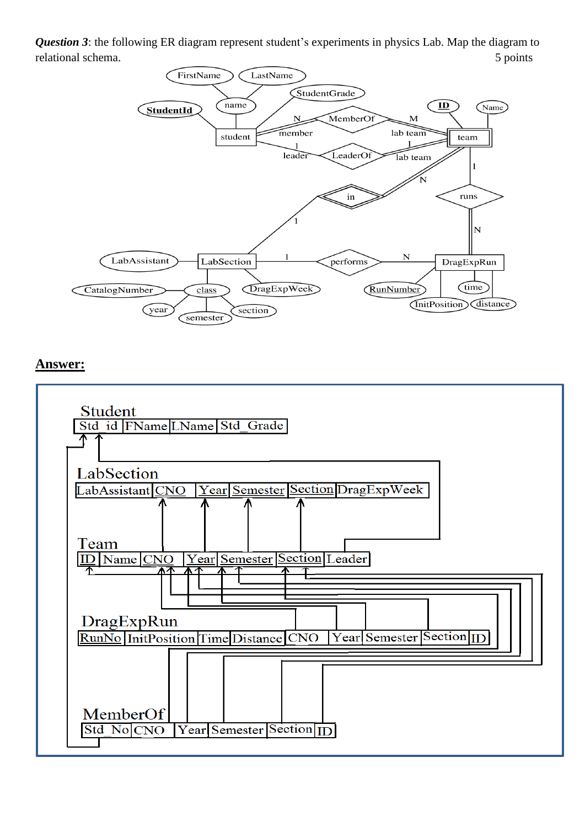*Question 3*: the following ER diagram represent student's experiments in physics Lab. Map the diagram to relational schema. 5 points



## **Answer:**

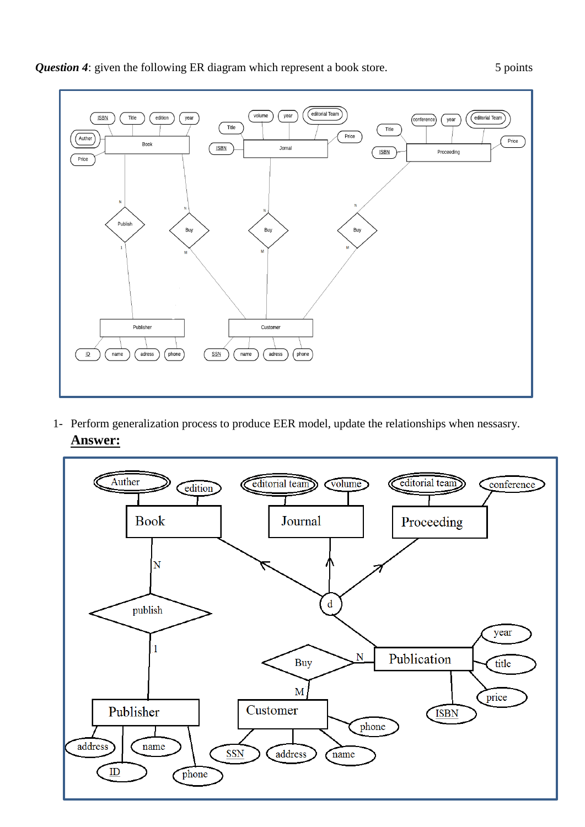



1- Perform generalization process to produce EER model, update the relationships when nessasry. **Answer:**